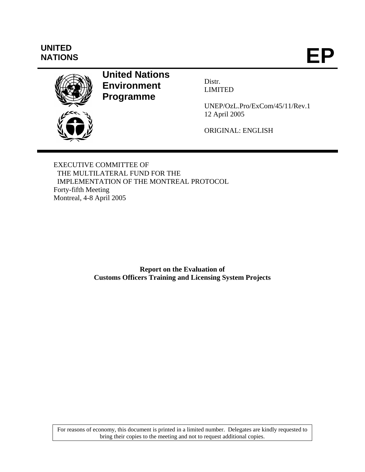# **UNITED**

NATIONS



# **United Nations Environment Programme**

Distr. LIMITED

UNEP/OzL.Pro/ExCom/45/11/Rev.1 12 April 2005

ORIGINAL: ENGLISH

EXECUTIVE COMMITTEE OF THE MULTILATERAL FUND FOR THE IMPLEMENTATION OF THE MONTREAL PROTOCOL Forty-fifth Meeting Montreal, 4-8 April 2005

> **Report on the Evaluation of Customs Officers Training and Licensing System Projects**

For reasons of economy, this document is printed in a limited number. Delegates are kindly requested to bring their copies to the meeting and not to request additional copies.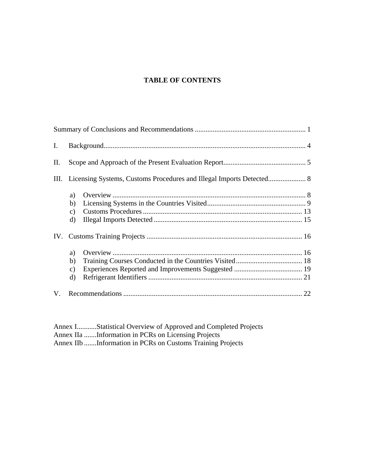#### **TABLE OF CONTENTS**

| I. |               |  |
|----|---------------|--|
| П. |               |  |
|    |               |  |
|    | a)            |  |
|    | b)            |  |
|    | $\mathbf{c})$ |  |
|    | $\mathbf{d}$  |  |
|    |               |  |
|    | a)            |  |
|    | b)            |  |
|    | C)            |  |
|    | $\rm d$       |  |
| V. |               |  |

Annex I...........Statistical Overview of Approved and Completed Projects Annex IIa .......Information in PCRs on Licensing Projects Annex IIb .......Information in PCRs on Customs Training Projects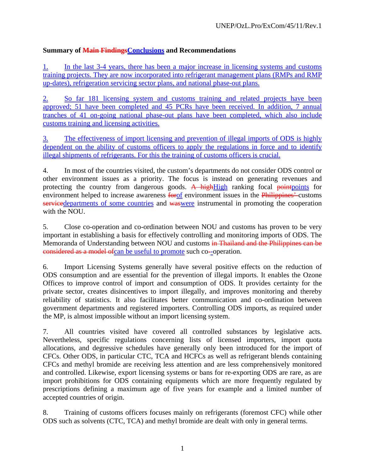# **Summary of Main FindingsConclusions and Recommendations**

1. In the last 3-4 years, there has been a major increase in licensing systems and customs training projects. They are now incorporated into refrigerant management plans (RMPs and RMP up-dates), refrigeration servicing sector plans, and national phase-out plans.

2. So far 181 licensing system and customs training and related projects have been approved; 51 have been completed and 45 PCRs have been received. In addition, 7 annual tranches of 41 on-going national phase-out plans have been completed, which also include customs training and licensing activities.

3. The effectiveness of import licensing and prevention of illegal imports of ODS is highly dependent on the ability of customs officers to apply the regulations in force and to identify illegal shipments of refrigerants. For this the training of customs officers is crucial.

4. In most of the countries visited, the custom's departments do not consider ODS control or other environment issues as a priority. The focus is instead on generating revenues and protecting the country from dangerous goods. A highHigh ranking focal pointpoints for environment helped to increase awareness forof environment issues in the Philippines' customs servicedepartments of some countries and waswere instrumental in promoting the cooperation with the NOU.

5. Close co-operation and co-ordination between NOU and customs has proven to be very important in establishing a basis for effectively controlling and monitoring imports of ODS. The Memoranda of Understanding between NOU and customs in Thailand and the Philippines can be considered as a model ofcan be useful to promote such co--operation.

6. Import Licensing Systems generally have several positive effects on the reduction of ODS consumption and are essential for the prevention of illegal imports. It enables the Ozone Offices to improve control of import and consumption of ODS. It provides certainty for the private sector, creates disincentives to import illegally, and improves monitoring and thereby reliability of statistics. It also facilitates better communication and co-ordination between government departments and registered importers. Controlling ODS imports, as required under the MP, is almost impossible without an import licensing system.

7. All countries visited have covered all controlled substances by legislative acts. Nevertheless, specific regulations concerning lists of licensed importers, import quota allocations, and degressive schedules have generally only been introduced for the import of CFCs. Other ODS, in particular CTC, TCA and HCFCs as well as refrigerant blends containing CFCs and methyl bromide are receiving less attention and are less comprehensively monitored and controlled. Likewise, export licensing systems or bans for re-exporting ODS are rare, as are import prohibitions for ODS containing equipments which are more frequently regulated by prescriptions defining a maximum age of five years for example and a limited number of accepted countries of origin.

8. Training of customs officers focuses mainly on refrigerants (foremost CFC) while other ODS such as solvents (CTC, TCA) and methyl bromide are dealt with only in general terms.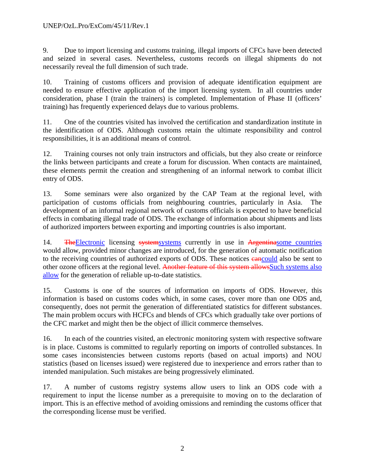9. Due to import licensing and customs training, illegal imports of CFCs have been detected and seized in several cases. Nevertheless, customs records on illegal shipments do not necessarily reveal the full dimension of such trade.

10. Training of customs officers and provision of adequate identification equipment are needed to ensure effective application of the import licensing system. In all countries under consideration, phase I (train the trainers) is completed. Implementation of Phase II (officers' training) has frequently experienced delays due to various problems.

11. One of the countries visited has involved the certification and standardization institute in the identification of ODS. Although customs retain the ultimate responsibility and control responsibilities, it is an additional means of control.

12. Training courses not only train instructors and officials, but they also create or reinforce the links between participants and create a forum for discussion. When contacts are maintained, these elements permit the creation and strengthening of an informal network to combat illicit entry of ODS.

13. Some seminars were also organized by the CAP Team at the regional level, with participation of customs officials from neighbouring countries, particularly in Asia. The development of an informal regional network of customs officials is expected to have beneficial effects in combating illegal trade of ODS. The exchange of information about shipments and lists of authorized importers between exporting and importing countries is also important.

14. The Electronic licensing systems systems currently in use in Argentinasome countries would allow, provided minor changes are introduced, for the generation of automatic notification to the receiving countries of authorized exports of ODS. These notices **cancould** also be sent to other ozone officers at the regional level. Another feature of this system allowsSuch systems also allow for the generation of reliable up-to-date statistics.

15. Customs is one of the sources of information on imports of ODS. However, this information is based on customs codes which, in some cases, cover more than one ODS and, consequently, does not permit the generation of differentiated statistics for different substances. The main problem occurs with HCFCs and blends of CFCs which gradually take over portions of the CFC market and might then be the object of illicit commerce themselves.

16. In each of the countries visited, an electronic monitoring system with respective software is in place. Customs is committed to regularly reporting on imports of controlled substances. In some cases inconsistencies between customs reports (based on actual imports) and NOU statistics (based on licenses issued) were registered due to inexperience and errors rather than to intended manipulation. Such mistakes are being progressively eliminated.

17. A number of customs registry systems allow users to link an ODS code with a requirement to input the license number as a prerequisite to moving on to the declaration of import. This is an effective method of avoiding omissions and reminding the customs officer that the corresponding license must be verified.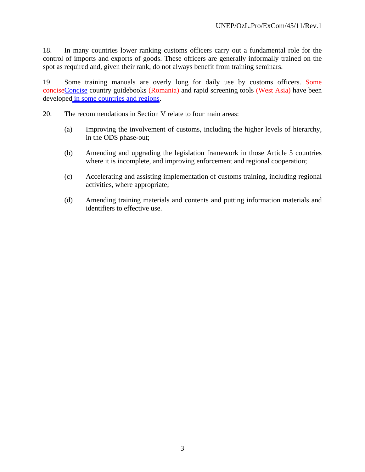18. In many countries lower ranking customs officers carry out a fundamental role for the control of imports and exports of goods. These officers are generally informally trained on the spot as required and, given their rank, do not always benefit from training seminars.

19. Some training manuals are overly long for daily use by customs officers. Some conciseConcise country guidebooks (Romania) and rapid screening tools (West Asia) have been developed in some countries and regions.

20. The recommendations in Section V relate to four main areas:

- (a) Improving the involvement of customs, including the higher levels of hierarchy, in the ODS phase-out;
- (b) Amending and upgrading the legislation framework in those Article 5 countries where it is incomplete, and improving enforcement and regional cooperation;
- (c) Accelerating and assisting implementation of customs training, including regional activities, where appropriate;
- (d) Amending training materials and contents and putting information materials and identifiers to effective use.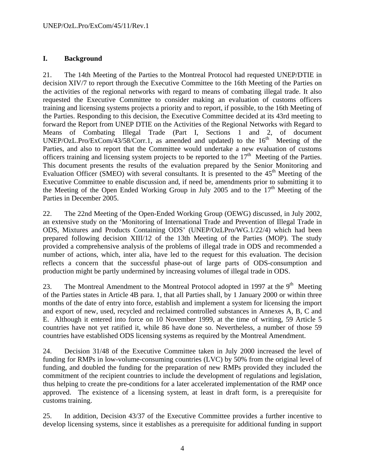# **I. Background**

21. The 14th Meeting of the Parties to the Montreal Protocol had requested UNEP/DTIE in decision XIV/7 to report through the Executive Committee to the 16th Meeting of the Parties on the activities of the regional networks with regard to means of combating illegal trade. It also requested the Executive Committee to consider making an evaluation of customs officers training and licensing systems projects a priority and to report, if possible, to the 16th Meeting of the Parties. Responding to this decision, the Executive Committee decided at its 43rd meeting to forward the Report from UNEP DTIE on the Activities of the Regional Networks with Regard to Means of Combating Illegal Trade (Part I, Sections 1 and 2, of document UNEP/OzL.Pro/ExCom/43/58/Corr.1, as amended and updated) to the  $16<sup>th</sup>$  Meeting of the Parties, and also to report that the Committee would undertake a new evaluation of customs officers training and licensing system projects to be reported to the  $17<sup>th</sup>$  Meeting of the Parties. This document presents the results of the evaluation prepared by the Senior Monitoring and Evaluation Officer (SMEO) with several consultants. It is presented to the  $45<sup>th</sup>$  Meeting of the Executive Committee to enable discussion and, if need be, amendments prior to submitting it to the Meeting of the Open Ended Working Group in July 2005 and to the  $17<sup>th</sup>$  Meeting of the Parties in December 2005.

22. The 22nd Meeting of the Open-Ended Working Group (OEWG) discussed, in July 2002, an extensive study on the 'Monitoring of International Trade and Prevention of Illegal Trade in ODS, Mixtures and Products Containing ODS' (UNEP/OzLPro/WG.1/22/4) which had been prepared following decision XIII/12 of the 13th Meeting of the Parties (MOP). The study provided a comprehensive analysis of the problems of illegal trade in ODS and recommended a number of actions, which, inter alia, have led to the request for this evaluation. The decision reflects a concern that the successful phase-out of large parts of ODS-consumption and production might be partly undermined by increasing volumes of illegal trade in ODS.

23. The Montreal Amendment to the Montreal Protocol adopted in 1997 at the  $9<sup>th</sup>$  Meeting of the Parties states in Article 4B para. 1, that all Parties shall, by 1 January 2000 or within three months of the date of entry into force, establish and implement a system for licensing the import and export of new, used, recycled and reclaimed controlled substances in Annexes A, B, C and E. Although it entered into force on 10 November 1999, at the time of writing, 59 Article 5 countries have not yet ratified it, while 86 have done so. Nevertheless, a number of those 59 countries have established ODS licensing systems as required by the Montreal Amendment.

24. Decision 31/48 of the Executive Committee taken in July 2000 increased the level of funding for RMPs in low-volume-consuming countries (LVC) by 50% from the original level of funding, and doubled the funding for the preparation of new RMPs provided they included the commitment of the recipient countries to include the development of regulations and legislation, thus helping to create the pre-conditions for a later accelerated implementation of the RMP once approved. The existence of a licensing system, at least in draft form, is a prerequisite for customs training.

25. In addition, Decision 43/37 of the Executive Committee provides a further incentive to develop licensing systems, since it establishes as a prerequisite for additional funding in support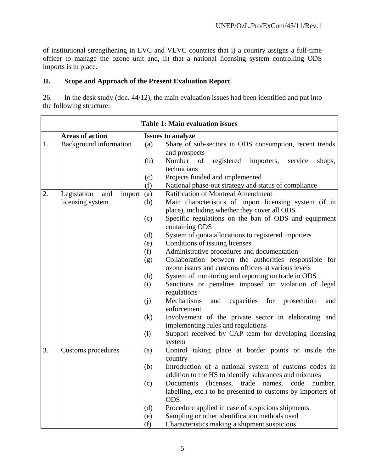of institutional strengthening in LVC and VLVC countries that i) a country assigns a full-time officer to manage the ozone unit and, ii) that a national licensing system controlling ODS imports is in place.

#### **II. Scope and Approach of the Present Evaluation Report**

26. In the desk study (doc. 44/12), the main evaluation issues had been identified and put into the following structure:

|    |                                                  | <b>Table 1: Main evaluation issues</b>                                                                                                              |
|----|--------------------------------------------------|-----------------------------------------------------------------------------------------------------------------------------------------------------|
|    | <b>Areas of action</b>                           | <b>Issues to analyze</b>                                                                                                                            |
| 1. | <b>Background</b> information                    | Share of sub-sectors in ODS consumption, recent trends<br>(a)<br>and prospects<br>Number of<br>registered<br>(b)<br>importers,<br>service<br>shops, |
|    |                                                  | technicians<br>Projects funded and implemented<br>(c)<br>National phase-out strategy and status of compliance<br>(f)                                |
| 2. | Legislation<br>and<br>import<br>licensing system | <b>Ratification of Montreal Amendment</b><br>(a)<br>Main characteristics of import licensing system (if in<br>(b)                                   |
|    |                                                  | place), including whether they cover all ODS<br>Specific regulations on the ban of ODS and equipment<br>(c)<br>containing ODS                       |
|    |                                                  | System of quota allocations to registered importers<br>(d)                                                                                          |
|    |                                                  | Conditions of issuing licenses<br>(e)                                                                                                               |
|    |                                                  | Administrative procedures and documentation<br>(f)                                                                                                  |
|    |                                                  | Collaboration between the authorities responsible for<br>(g)<br>ozone issues and customs officers at various levels                                 |
|    |                                                  | System of monitoring and reporting on trade in ODS<br>(h)                                                                                           |
|    |                                                  | Sanctions or penalties imposed on violation of legal<br>(i)<br>regulations                                                                          |
|    |                                                  | Mechanisms<br>(j)<br>capacities for<br>and<br>prosecution<br>and<br>enforcement                                                                     |
|    |                                                  | Involvement of the private sector in elaborating and<br>(k)<br>implementing rules and regulations                                                   |
|    |                                                  | Support received by CAP team for developing licensing<br>(1)<br>system                                                                              |
| 3. | Customs procedures                               | Control taking place at border points or inside the<br>(a)<br>country                                                                               |
|    |                                                  | (b)<br>Introduction of a national system of customs codes in<br>addition to the HS to identify substances and mixtures                              |
|    |                                                  | (c)<br>Documents (licenses, trade names, code number,<br>labelling, etc.) to be presented to customs by importers of<br><b>ODS</b>                  |
|    |                                                  | Procedure applied in case of suspicious shipments<br>(d)                                                                                            |
|    |                                                  | Sampling or other identification methods used<br>(e)                                                                                                |
|    |                                                  | Characteristics making a shipment suspicious<br>(f)                                                                                                 |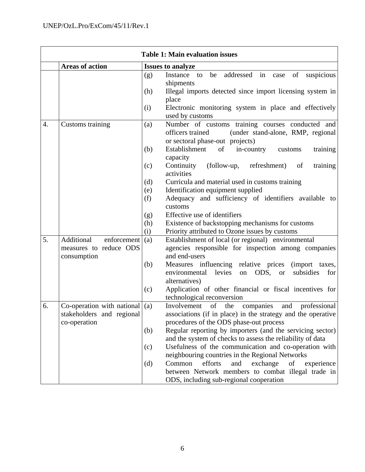|    | <b>Table 1: Main evaluation issues</b>    |     |                                                                                                                                              |  |  |
|----|-------------------------------------------|-----|----------------------------------------------------------------------------------------------------------------------------------------------|--|--|
|    | <b>Areas of action</b>                    |     | <b>Issues to analyze</b>                                                                                                                     |  |  |
|    |                                           | (g) | addressed<br>in<br>Instance<br>be<br>of<br>suspicious<br>to<br>case<br>shipments                                                             |  |  |
|    |                                           | (h) | Illegal imports detected since import licensing system in<br>place                                                                           |  |  |
|    |                                           | (i) | Electronic monitoring system in place and effectively<br>used by customs                                                                     |  |  |
| 4. | Customs training                          | (a) | Number of customs training courses conducted and<br>officers trained<br>(under stand-alone, RMP, regional<br>or sectoral phase-out projects) |  |  |
|    |                                           | (b) | Establishment<br>of<br>in-country<br>customs<br>training<br>capacity                                                                         |  |  |
|    |                                           | (c) | Continuity<br>(follow-up,<br>refreshment)<br>training<br>of<br>activities                                                                    |  |  |
|    |                                           | (d) | Curricula and material used in customs training                                                                                              |  |  |
|    |                                           | (e) | Identification equipment supplied                                                                                                            |  |  |
|    |                                           | (f) | Adequacy and sufficiency of identifiers available to<br>customs                                                                              |  |  |
|    |                                           | (g) | Effective use of identifiers                                                                                                                 |  |  |
|    |                                           | (h) | Existence of backstopping mechanisms for customs                                                                                             |  |  |
|    |                                           | (i) | Priority attributed to Ozone issues by customs                                                                                               |  |  |
| 5. | Additional<br>enforcement                 | (a) | Establishment of local (or regional) environmental                                                                                           |  |  |
|    | measures to reduce ODS                    |     | agencies responsible for inspection among companies                                                                                          |  |  |
|    | consumption                               |     | and end-users                                                                                                                                |  |  |
|    |                                           | (b) | Measures influencing relative prices (import taxes,<br>ODS, or<br>environmental<br>levies<br>subsidies<br>on<br>for<br>alternatives)         |  |  |
|    |                                           | (c) | Application of other financial or fiscal incentives for<br>technological reconversion                                                        |  |  |
| 6. | Co-operation with national                | (a) | Involvement<br>of<br>the<br>companies<br>and<br>professional                                                                                 |  |  |
|    | stakeholders and regional<br>co-operation |     | associations (if in place) in the strategy and the operative<br>procedures of the ODS phase-out process                                      |  |  |
|    |                                           | (b) | Regular reporting by importers (and the servicing sector)<br>and the system of checks to assess the reliability of data                      |  |  |
|    |                                           | (c) | Usefulness of the communication and co-operation with<br>neighbouring countries in the Regional Networks                                     |  |  |
|    |                                           | (d) | Common<br>efforts<br>exchange<br>and<br>of<br>experience                                                                                     |  |  |
|    |                                           |     | between Network members to combat illegal trade in                                                                                           |  |  |
|    |                                           |     | ODS, including sub-regional cooperation                                                                                                      |  |  |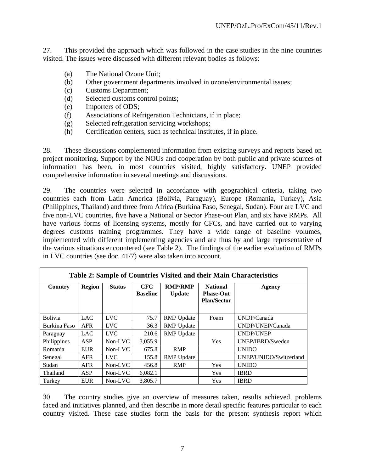27. This provided the approach which was followed in the case studies in the nine countries visited. The issues were discussed with different relevant bodies as follows:

- (a) The National Ozone Unit;
- (b) Other government departments involved in ozone/environmental issues;
- (c) Customs Department;
- (d) Selected customs control points;
- (e) Importers of ODS;
- (f) Associations of Refrigeration Technicians, if in place;
- (g) Selected refrigeration servicing workshops;
- (h) Certification centers, such as technical institutes, if in place.

28. These discussions complemented information from existing surveys and reports based on project monitoring. Support by the NOUs and cooperation by both public and private sources of information has been, in most countries visited, highly satisfactory. UNEP provided comprehensive information in several meetings and discussions.

29. The countries were selected in accordance with geographical criteria, taking two countries each from Latin America (Bolivia, Paraguay), Europe (Romania, Turkey), Asia (Philippines, Thailand) and three from Africa (Burkina Faso, Senegal, Sudan). Four are LVC and five non-LVC countries, five have a National or Sector Phase-out Plan, and six have RMPs. All have various forms of licensing systems, mostly for CFCs, and have carried out to varying degrees customs training programmes. They have a wide range of baseline volumes, implemented with different implementing agencies and are thus by and large representative of the various situations encountered (see Table 2). The findings of the earlier evaluation of RMPs in LVC countries (see doc. 41/7) were also taken into account.

| Table 2: Sample of Countries Visited and their Main Characteristics |               |               |                               |                                 |                                                           |                        |  |  |
|---------------------------------------------------------------------|---------------|---------------|-------------------------------|---------------------------------|-----------------------------------------------------------|------------------------|--|--|
| Country                                                             | <b>Region</b> | <b>Status</b> | <b>CFC</b><br><b>Baseline</b> | <b>RMP/RMP</b><br><b>Update</b> | <b>National</b><br><b>Phase-Out</b><br><b>Plan/Sector</b> | Agency                 |  |  |
| <b>Bolivia</b>                                                      | <b>LAC</b>    | <b>LVC</b>    | 75.7                          | <b>RMP</b> Update               | Foam                                                      | UNDP/Canada            |  |  |
| Burkina Faso                                                        | <b>AFR</b>    | <b>LVC</b>    | 36.3                          | <b>RMP</b> Update               |                                                           | UNDP/UNEP/Canada       |  |  |
| Paraguay                                                            | <b>LAC</b>    | <b>LVC</b>    | 210.6                         | <b>RMP</b> Update               |                                                           | <b>UNDP/UNEP</b>       |  |  |
| Philippines                                                         | ASP           | Non-LVC       | 3,055.9                       |                                 | Yes                                                       | UNEP/IBRD/Sweden       |  |  |
| Romania                                                             | EUR           | Non-LVC       | 675.8                         | <b>RMP</b>                      |                                                           | <b>UNIDO</b>           |  |  |
| Senegal                                                             | <b>AFR</b>    | <b>LVC</b>    | 155.8                         | <b>RMP</b> Update               |                                                           | UNEP/UNIDO/Switzerland |  |  |
| Sudan                                                               | <b>AFR</b>    | Non-LVC       | 456.8                         | <b>RMP</b>                      | <b>Yes</b>                                                | <b>UNIDO</b>           |  |  |
| Thailand                                                            | ASP           | Non-LVC       | 6,082.1                       |                                 | <b>Yes</b>                                                | <b>IBRD</b>            |  |  |
| Turkey                                                              | <b>EUR</b>    | Non-LVC       | 3,805.7                       |                                 | Yes                                                       | <b>IBRD</b>            |  |  |

30. The country studies give an overview of measures taken, results achieved, problems faced and initiatives planned, and then describe in more detail specific features particular to each country visited. These case studies form the basis for the present synthesis report which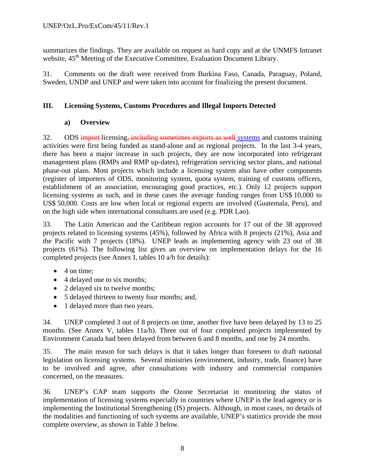summarizes the findings. They are available on request as hard copy and at the UNMFS Intranet website,  $45<sup>th</sup>$  Meeting of the Executive Committee, Evaluation Document Library.

31. Comments on the draft were received from Burkina Faso, Canada, Paraguay, Poland, Sweden, UNDP and UNEP and were taken into account for finalizing the present document.

#### **III. Licensing Systems, Customs Procedures and Illegal Imports Detected**

#### **a) Overview**

32. ODS import-licensing, including sometimes exports as well systems and customs training activities were first being funded as stand-alone and as regional projects. In the last 3-4 years, there has been a major increase in such projects, they are now incorporated into refrigerant management plans (RMPs and RMP up-dates), refrigeration servicing sector plans, and national phase-out plans. Most projects which include a licensing system also have other components (register of importers of ODS, monitoring system, quota system, training of customs officers, establishment of an association, encouraging good practices, etc.). Only 12 projects support licensing systems as such, and in these cases the average funding ranges from US\$ 10,000 to US\$ 50,000. Costs are low when local or regional experts are involved (Guatemala, Peru), and on the high side when international consultants are used (e.g. PDR Lao).

33. The Latin American and the Caribbean region accounts for 17 out of the 38 approved projects related to licensing systems (45%), followed by Africa with 8 projects (21%), Asia and the Pacific with 7 projects (18%). UNEP leads as implementing agency with 23 out of 38 projects (61%). The following list gives an overview on implementation delays for the 16 completed projects (see Annex I, tables 10 a/b for details):

- $\bullet$  4 on time:
- 4 delayed one to six months;
- 2 delayed six to twelve months;
- 5 delayed thirteen to twenty four months; and,
- 1 delayed more than two years.

34. UNEP completed 3 out of 8 projects on time, another five have been delayed by 13 to 25 months. (See Annex V, tables 11a/b). Three out of four completed projects implemented by Environment Canada had been delayed from between 6 and 8 months, and one by 24 months.

35. The main reason for such delays is that it takes longer than foreseen to draft national legislation on licensing systems. Several ministries (environment, industry, trade, finance) have to be involved and agree, after consultations with industry and commercial companies concerned, on the measures.

36. UNEP's CAP team supports the Ozone Secretariat in monitoring the status of implementation of licensing systems especially in countries where UNEP is the lead agency or is implementing the Institutional Strengthening (IS) projects. Although, in most cases, no details of the modalities and functioning of such systems are available, UNEP's statistics provide the most complete overview, as shown in Table 3 below.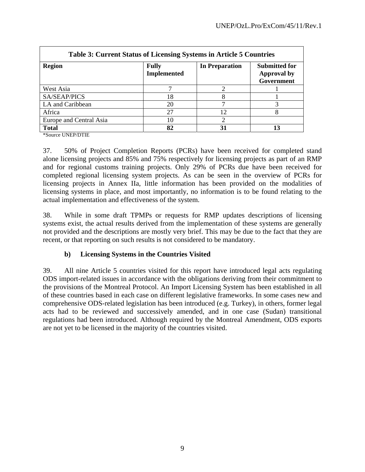٦

| <b>Table 3: Current Status of Licensing Systems in Article 5 Countries</b> |                                    |                             |                                                          |  |  |  |
|----------------------------------------------------------------------------|------------------------------------|-----------------------------|----------------------------------------------------------|--|--|--|
| <b>Region</b>                                                              | <b>Fully</b><br><b>Implemented</b> | <b>In Preparation</b>       | <b>Submitted for</b><br><b>Approval by</b><br>Government |  |  |  |
| West Asia                                                                  |                                    |                             |                                                          |  |  |  |
| <b>SA/SEAP/PICS</b>                                                        | 18                                 |                             |                                                          |  |  |  |
| LA and Caribbean                                                           | 20                                 |                             |                                                          |  |  |  |
| Africa                                                                     | 27                                 | 12                          |                                                          |  |  |  |
| Europe and Central Asia                                                    | 10                                 | $\mathcal{D}_{\mathcal{L}}$ |                                                          |  |  |  |
| <b>Total</b>                                                               | 82                                 | 31                          |                                                          |  |  |  |

\*Source UNEP/DTIE

37. 50% of Project Completion Reports (PCRs) have been received for completed stand alone licensing projects and 85% and 75% respectively for licensing projects as part of an RMP and for regional customs training projects. Only 29% of PCRs due have been received for completed regional licensing system projects. As can be seen in the overview of PCRs for licensing projects in Annex IIa, little information has been provided on the modalities of licensing systems in place, and most importantly, no information is to be found relating to the actual implementation and effectiveness of the system.

38. While in some draft TPMPs or requests for RMP updates descriptions of licensing systems exist, the actual results derived from the implementation of these systems are generally not provided and the descriptions are mostly very brief. This may be due to the fact that they are recent, or that reporting on such results is not considered to be mandatory.

#### **b) Licensing Systems in the Countries Visited**

39. All nine Article 5 countries visited for this report have introduced legal acts regulating ODS import-related issues in accordance with the obligations deriving from their commitment to the provisions of the Montreal Protocol. An Import Licensing System has been established in all of these countries based in each case on different legislative frameworks. In some cases new and comprehensive ODS-related legislation has been introduced (e.g. Turkey), in others, former legal acts had to be reviewed and successively amended, and in one case (Sudan) transitional regulations had been introduced. Although required by the Montreal Amendment, ODS exports are not yet to be licensed in the majority of the countries visited.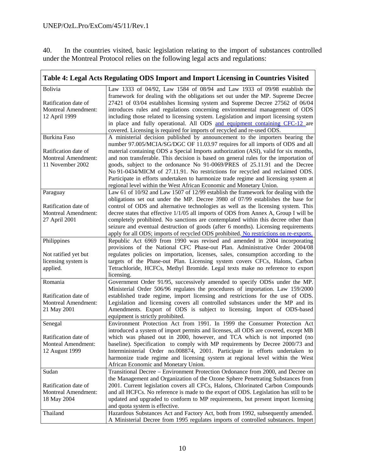40. In the countries visited, basic legislation relating to the import of substances controlled under the Montreal Protocol relies on the following legal acts and regulations:

 $\overline{a}$ 

|                                                                                 | Table 4: Legal Acts Regulating ODS Import and Import Licensing in Countries Visited                                                                                                                                                                                                                                                                                                                                                                                                                                                                                                                                     |
|---------------------------------------------------------------------------------|-------------------------------------------------------------------------------------------------------------------------------------------------------------------------------------------------------------------------------------------------------------------------------------------------------------------------------------------------------------------------------------------------------------------------------------------------------------------------------------------------------------------------------------------------------------------------------------------------------------------------|
| Bolivia<br>Ratification date of<br><b>Montreal Amendment:</b><br>12 April 1999  | Law 1333 of 04/92, Law 1584 of 08/94 and Law 1933 of 09/98 establish the<br>framework for dealing with the obligations set out under the MP. Supreme Decree<br>27421 of 03/04 establishes licensing system and Supreme Decree 27562 of 06/04<br>introduces rules and regulations concerning environmental management of ODS<br>including those related to licensing system. Legislation and import licensing system<br>in place and fully operational. All ODS and equipment containing CFC-12 are<br>covered. Licensing is required for imports of recycled and re-used ODS.                                           |
| <b>Burkina Faso</b>                                                             | A ministerial decision published by announcement to the importers bearing the<br>number 97.005/MCIA/SG/DGC OF 11.03.97 requires for all imports of ODS and all                                                                                                                                                                                                                                                                                                                                                                                                                                                          |
| Ratification date of<br><b>Montreal Amendment:</b><br>11 November 2002          | material containing ODS a Special Imports authorization (ASI), valid for six months,<br>and non transferable. This decision is based on general rules for the importation of<br>goods, subject to the ordonance No 91-0069/PRES of 25.11.91 and the Decree<br>No 91-0434/MICM of 27.11.91. No restrictions for recycled and reclaimed ODS.<br>Participate in efforts undertaken to harmonize trade regime and licensing system at<br>regional level within the West African Economic and Monetary Union.                                                                                                                |
| Paraguay<br>Ratification date of<br><b>Montreal Amendment:</b><br>27 April 2001 | Law 61 of 10/92 and Law 1507 of 12/99 establish the framework for dealing with the<br>obligations set out under the MP. Decree 3980 of 07/99 establishes the base for<br>control of ODS and alternative technologies as well as the licensing system. This<br>decree states that effective 1/1/05 all imports of ODS from Annex A, Group I will be<br>completely prohibited. No sanctions are contemplated within this decree other than<br>seizure and eventual destruction of goods (after 6 months). Licensing requirements<br>apply for all ODS; imports of recycled ODS prohibited. No restrictions on re-exports. |
| Philippines                                                                     | Republic Act 6969 from 1990 was revised and amended in 2004 incorporating                                                                                                                                                                                                                                                                                                                                                                                                                                                                                                                                               |
| Not ratified yet but<br>licensing system is<br>applied.                         | provisions of the National CFC Phase-out Plan. Administrative Order 2004/08<br>regulates policies on importation, licenses, sales, consumption according to the<br>targets of the Phase-out Plan. Licensing system covers CFCs, Halons, Carbon<br>Tetrachloride, HCFCs, Methyl Bromide. Legal texts make no reference to export<br>licensing.                                                                                                                                                                                                                                                                           |
| Romania                                                                         | Government Order 91/95, successively amended to specify ODSs under the MP.                                                                                                                                                                                                                                                                                                                                                                                                                                                                                                                                              |
| Ratification date of<br><b>Montreal Amendment:</b><br>21 May 2001               | Ministerial Order 506/96 regulates the procedures of importation. Law 159/2000<br>established trade regime, import licensing and restrictions for the use of ODS.<br>Legislation and licensing covers all controlled substances under the MP and its<br>Amendments. Export of ODS is subject to licensing. Import of ODS-based<br>equipment is strictly prohibited.                                                                                                                                                                                                                                                     |
| Senegal<br>Ratification date of<br><b>Monteal Amendment:</b><br>12 August 1999  | Environment Protection Act from 1991. In 1999 the Consumer Protection Act<br>introduced a system of import permits and licenses, all ODS are covered, except MB<br>which was phased out in 2000, however, and TCA which is not imported (no<br>baseline). Specification to comply with MP requirements by Decree 2000/73 and<br>Interministerial Order no.008874, 2001. Participate in efforts undertaken to<br>harmonize trade regime and licensing system at regional level within the West<br>African Economic and Monetary Union.                                                                                   |
| Sudan                                                                           | Transitional Decree – Environment Protection Ordonance from 2000, and Decree on                                                                                                                                                                                                                                                                                                                                                                                                                                                                                                                                         |
| Ratification date of<br><b>Montreal Amendment:</b><br>18 May 2004               | the Management and Organization of the Ozone Sphere Penetrating Substances from<br>2001. Current legislation covers all CFCs, Halons, Chlorinated Carbon Compounds<br>and all HCFCs. No reference is made to the export of ODS. Legislation has still to be<br>updated and upgraded to conform to MP requirements, but present import licensing<br>and quota system is effective.                                                                                                                                                                                                                                       |
| Thailand                                                                        | Hazardous Substances Act and Factory Act, both from 1992, subsequently amended.<br>A Ministerial Decree from 1995 regulates imports of controlled substances. Import                                                                                                                                                                                                                                                                                                                                                                                                                                                    |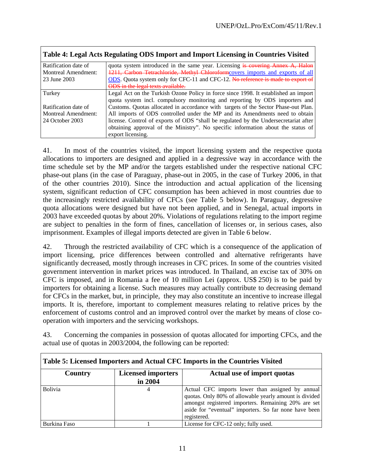┑

| Table 4: Legal Acts Regulating ODS Import and Import Licensing in Countries Visited |                                                                                      |  |  |  |  |
|-------------------------------------------------------------------------------------|--------------------------------------------------------------------------------------|--|--|--|--|
| Ratification date of                                                                | quota system introduced in the same year. Licensing is covering Annex A, Halon       |  |  |  |  |
| <b>Montreal Amendment:</b>                                                          | 1211, Carbon Tetrachloride, Methyl Chloroformcovers imports and exports of all       |  |  |  |  |
| 23 June 2003                                                                        | ODS. Quota system only for CFC-11 and CFC-12. No reference is made to export of      |  |  |  |  |
|                                                                                     | <b>ODS</b> in the legal texts available.                                             |  |  |  |  |
| Turkey                                                                              | Legal Act on the Turkish Ozone Policy in force since 1998. It established an import  |  |  |  |  |
|                                                                                     | quota system incl. compulsory monitoring and reporting by ODS importers and          |  |  |  |  |
| Ratification date of                                                                | Customs. Quotas allocated in accordance with targets of the Sector Phase-out Plan.   |  |  |  |  |
| <b>Montreal Amendment:</b>                                                          | All imports of ODS controlled under the MP and its Amendments need to obtain         |  |  |  |  |
| 24 October 2003                                                                     | license. Control of exports of ODS "shall be regulated by the Undersecretariat after |  |  |  |  |
|                                                                                     | obtaining approval of the Ministry". No specific information about the status of     |  |  |  |  |
|                                                                                     | export licensing.                                                                    |  |  |  |  |

41. In most of the countries visited, the import licensing system and the respective quota allocations to importers are designed and applied in a degressive way in accordance with the time schedule set by the MP and/or the targets established under the respective national CFC phase-out plans (in the case of Paraguay, phase-out in 2005, in the case of Turkey 2006, in that of the other countries 2010). Since the introduction and actual application of the licensing system, significant reduction of CFC consumption has been achieved in most countries due to the increasingly restricted availability of CFCs (see Table 5 below). In Paraguay, degressive quota allocations were designed but have not been applied, and in Senegal, actual imports in 2003 have exceeded quotas by about 20%. Violations of regulations relating to the import regime are subject to penalties in the form of fines, cancellation of licenses or, in serious cases, also imprisonment. Examples of illegal imports detected are given in Table 6 below.

42. Through the restricted availability of CFC which is a consequence of the application of import licensing, price differences between controlled and alternative refrigerants have significantly decreased, mostly through increases in CFC prices. In some of the countries visited government intervention in market prices was introduced. In Thailand, an excise tax of 30% on CFC is imposed, and in Romania a fee of 10 million Lei (approx. US\$ 250) is to be paid by importers for obtaining a license. Such measures may actually contribute to decreasing demand for CFCs in the market, but, in principle, they may also constitute an incentive to increase illegal imports. It is, therefore, important to complement measures relating to relative prices by the enforcement of customs control and an improved control over the market by means of close cooperation with importers and the servicing workshops.

43. Concerning the companies in possession of quotas allocated for importing CFCs, and the actual use of quotas in 2003/2004, the following can be reported:

| Table 5: Licensed Importers and Actual CFC Imports in the Countries Visited |         |                                                                                                                                                                                                                                           |  |  |  |
|-----------------------------------------------------------------------------|---------|-------------------------------------------------------------------------------------------------------------------------------------------------------------------------------------------------------------------------------------------|--|--|--|
| <b>Licensed importers</b><br>Country                                        |         | <b>Actual use of import quotas</b>                                                                                                                                                                                                        |  |  |  |
|                                                                             | in 2004 |                                                                                                                                                                                                                                           |  |  |  |
| Bolivia                                                                     | 4       | Actual CFC imports lower than assigned by annual<br>quotas. Only 80% of allowable yearly amount is divided<br>amongst registered importers. Remaining 20% are set<br>aside for "eventual" importers. So far none have been<br>registered. |  |  |  |
| Burkina Faso                                                                |         | License for CFC-12 only; fully used.                                                                                                                                                                                                      |  |  |  |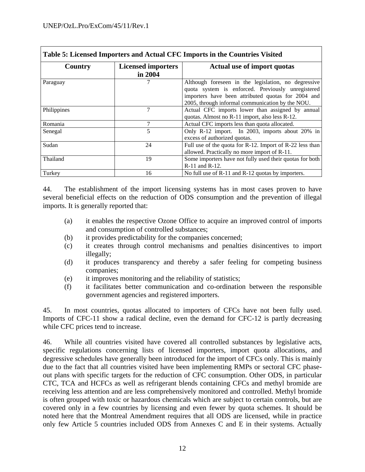| Table 5: Licensed Importers and Actual CFC Imports in the Countries Visited |                                      |                                                                                                                                                                                                                    |  |  |  |
|-----------------------------------------------------------------------------|--------------------------------------|--------------------------------------------------------------------------------------------------------------------------------------------------------------------------------------------------------------------|--|--|--|
| Country                                                                     | <b>Licensed importers</b><br>in 2004 | Actual use of import quotas                                                                                                                                                                                        |  |  |  |
| Paraguay                                                                    |                                      | Although foreseen in the legislation, no degressive<br>quota system is enforced. Previously unregistered<br>importers have been attributed quotas for 2004 and<br>2005, through informal communication by the NOU. |  |  |  |
| Philippines                                                                 | 7                                    | Actual CFC imports lower than assigned by annual<br>quotas. Almost no R-11 import, also less R-12.                                                                                                                 |  |  |  |
| Romania                                                                     |                                      | Actual CFC imports less than quota allocated.                                                                                                                                                                      |  |  |  |
| Senegal                                                                     | 5                                    | Only R-12 import. In 2003, imports about 20% in<br>excess of authorized quotas.                                                                                                                                    |  |  |  |
| Sudan                                                                       | 24                                   | Full use of the quota for R-12. Import of R-22 less than<br>allowed. Practically no more import of R-11.                                                                                                           |  |  |  |
| Thailand                                                                    | 19                                   | Some importers have not fully used their quotas for both<br>R-11 and R-12.                                                                                                                                         |  |  |  |
| Turkey                                                                      | 16                                   | No full use of R-11 and R-12 quotas by importers.                                                                                                                                                                  |  |  |  |

44. The establishment of the import licensing systems has in most cases proven to have several beneficial effects on the reduction of ODS consumption and the prevention of illegal imports. It is generally reported that:

- (a) it enables the respective Ozone Office to acquire an improved control of imports and consumption of controlled substances;
- (b) it provides predictability for the companies concerned;
- (c) it creates through control mechanisms and penalties disincentives to import illegally;
- (d) it produces transparency and thereby a safer feeling for competing business companies;
- (e) it improves monitoring and the reliability of statistics;
- (f) it facilitates better communication and co-ordination between the responsible government agencies and registered importers.

45. In most countries, quotas allocated to importers of CFCs have not been fully used. Imports of CFC-11 show a radical decline, even the demand for CFC-12 is partly decreasing while CFC prices tend to increase.

46. While all countries visited have covered all controlled substances by legislative acts, specific regulations concerning lists of licensed importers, import quota allocations, and degressive schedules have generally been introduced for the import of CFCs only. This is mainly due to the fact that all countries visited have been implementing RMPs or sectoral CFC phaseout plans with specific targets for the reduction of CFC consumption. Other ODS, in particular CTC, TCA and HCFCs as well as refrigerant blends containing CFCs and methyl bromide are receiving less attention and are less comprehensively monitored and controlled. Methyl bromide is often grouped with toxic or hazardous chemicals which are subject to certain controls, but are covered only in a few countries by licensing and even fewer by quota schemes. It should be noted here that the Montreal Amendment requires that all ODS are licensed, while in practice only few Article 5 countries included ODS from Annexes C and E in their systems. Actually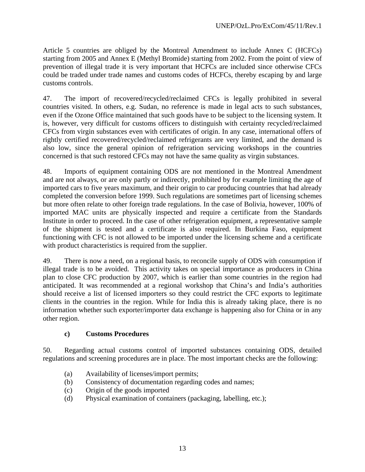Article 5 countries are obliged by the Montreal Amendment to include Annex C (HCFCs) starting from 2005 and Annex E (Methyl Bromide) starting from 2002. From the point of view of prevention of illegal trade it is very important that HCFCs are included since otherwise CFCs could be traded under trade names and customs codes of HCFCs, thereby escaping by and large customs controls.

47. The import of recovered/recycled/reclaimed CFCs is legally prohibited in several countries visited. In others, e.g. Sudan, no reference is made in legal acts to such substances, even if the Ozone Office maintained that such goods have to be subject to the licensing system. It is, however, very difficult for customs officers to distinguish with certainty recycled/reclaimed CFCs from virgin substances even with certificates of origin. In any case, international offers of rightly certified recovered/recycled/reclaimed refrigerants are very limited, and the demand is also low, since the general opinion of refrigeration servicing workshops in the countries concerned is that such restored CFCs may not have the same quality as virgin substances.

48. Imports of equipment containing ODS are not mentioned in the Montreal Amendment and are not always, or are only partly or indirectly, prohibited by for example limiting the age of imported cars to five years maximum, and their origin to car producing countries that had already completed the conversion before 1999. Such regulations are sometimes part of licensing schemes but more often relate to other foreign trade regulations. In the case of Bolivia, however, 100% of imported MAC units are physically inspected and require a certificate from the Standards Institute in order to proceed. In the case of other refrigeration equipment, a representative sample of the shipment is tested and a certificate is also required. In Burkina Faso, equipment functioning with CFC is not allowed to be imported under the licensing scheme and a certificate with product characteristics is required from the supplier.

49. There is now a need, on a regional basis, to reconcile supply of ODS with consumption if illegal trade is to be avoided. This activity takes on special importance as producers in China plan to close CFC production by 2007, which is earlier than some countries in the region had anticipated. It was recommended at a regional workshop that China's and India's authorities should receive a list of licensed importers so they could restrict the CFC exports to legitimate clients in the countries in the region. While for India this is already taking place, there is no information whether such exporter/importer data exchange is happening also for China or in any other region.

#### **c) Customs Procedures**

50. Regarding actual customs control of imported substances containing ODS, detailed regulations and screening procedures are in place. The most important checks are the following:

- (a) Availability of licenses/import permits;
- (b) Consistency of documentation regarding codes and names;
- (c) Origin of the goods imported
- (d) Physical examination of containers (packaging, labelling, etc.);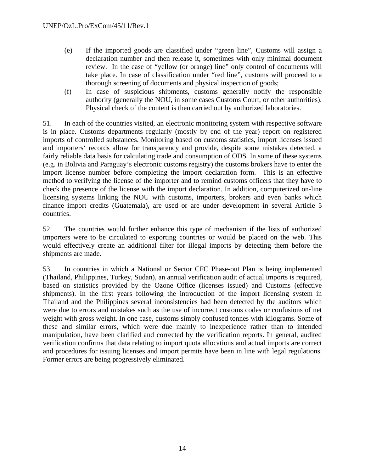- (e) If the imported goods are classified under "green line", Customs will assign a declaration number and then release it, sometimes with only minimal document review. In the case of "yellow (or orange) line" only control of documents will take place. In case of classification under "red line", customs will proceed to a thorough screening of documents and physical inspection of goods;
- (f) In case of suspicious shipments, customs generally notify the responsible authority (generally the NOU, in some cases Customs Court, or other authorities). Physical check of the content is then carried out by authorized laboratories.

51. In each of the countries visited, an electronic monitoring system with respective software is in place. Customs departments regularly (mostly by end of the year) report on registered imports of controlled substances. Monitoring based on customs statistics, import licenses issued and importers' records allow for transparency and provide, despite some mistakes detected, a fairly reliable data basis for calculating trade and consumption of ODS. In some of these systems (e.g. in Bolivia and Paraguay's electronic customs registry) the customs brokers have to enter the import license number before completing the import declaration form. This is an effective method to verifying the license of the importer and to remind customs officers that they have to check the presence of the license with the import declaration. In addition, computerized on-line licensing systems linking the NOU with customs, importers, brokers and even banks which finance import credits (Guatemala), are used or are under development in several Article 5 countries.

52. The countries would further enhance this type of mechanism if the lists of authorized importers were to be circulated to exporting countries or would be placed on the web. This would effectively create an additional filter for illegal imports by detecting them before the shipments are made.

53. In countries in which a National or Sector CFC Phase-out Plan is being implemented (Thailand, Philippines, Turkey, Sudan), an annual verification audit of actual imports is required, based on statistics provided by the Ozone Office (licenses issued) and Customs (effective shipments). In the first years following the introduction of the import licensing system in Thailand and the Philippines several inconsistencies had been detected by the auditors which were due to errors and mistakes such as the use of incorrect customs codes or confusions of net weight with gross weight. In one case, customs simply confused tonnes with kilograms. Some of these and similar errors, which were due mainly to inexperience rather than to intended manipulation, have been clarified and corrected by the verification reports. In general, audited verification confirms that data relating to import quota allocations and actual imports are correct and procedures for issuing licenses and import permits have been in line with legal regulations. Former errors are being progressively eliminated.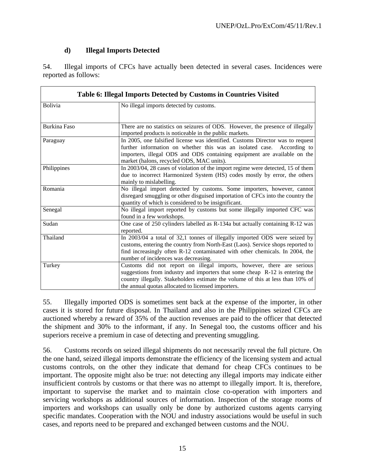# **d) Illegal Imports Detected**

54. Illegal imports of CFCs have actually been detected in several cases. Incidences were reported as follows:

| Table 6: Illegal Imports Detected by Customs in Countries Visited |                                                                                  |  |  |  |
|-------------------------------------------------------------------|----------------------------------------------------------------------------------|--|--|--|
| <b>Bolivia</b>                                                    | No illegal imports detected by customs.                                          |  |  |  |
|                                                                   |                                                                                  |  |  |  |
| <b>Burkina Faso</b>                                               | There are no statistics on seizures of ODS. However, the presence of illegally   |  |  |  |
|                                                                   | imported products is noticeable in the public markets.                           |  |  |  |
| Paraguay                                                          | In 2005, one falsified license was identified. Customs Director was to request   |  |  |  |
|                                                                   | further information on whether this was an isolated case.<br>According to        |  |  |  |
|                                                                   | importers, illegal ODS and ODS containing equipment are available on the         |  |  |  |
|                                                                   | market (halons, recycled ODS, MAC units).                                        |  |  |  |
| Philippines                                                       | In 2003/04, 28 cases of violation of the import regime were detected, 15 of them |  |  |  |
|                                                                   | due to incorrect Harmonized System (HS) codes mostly by error, the others        |  |  |  |
|                                                                   | mainly to mislabelling.                                                          |  |  |  |
| Romania                                                           | No illegal import detected by customs. Some importers, however, cannot           |  |  |  |
|                                                                   | disregard smuggling or other disguised importation of CFCs into the country the  |  |  |  |
|                                                                   | quantity of which is considered to be insignificant.                             |  |  |  |
| Senegal                                                           | No illegal import reported by customs but some illegally imported CFC was        |  |  |  |
|                                                                   | found in a few workshops.                                                        |  |  |  |
| Sudan                                                             | One case of 250 cylinders labelled as R-134a but actually containing R-12 was    |  |  |  |
|                                                                   | reported.                                                                        |  |  |  |
| Thailand                                                          | In 2003/04 a total of 32,1 tonnes of illegally imported ODS were seized by       |  |  |  |
|                                                                   | customs, entering the country from North-East (Laos). Service shops reported to  |  |  |  |
|                                                                   | find increasingly often R-12 contaminated with other chemicals. In 2004, the     |  |  |  |
|                                                                   | number of incidences was decreasing.                                             |  |  |  |
| Turkey                                                            | Customs did not report on illegal imports, however, there are serious            |  |  |  |
|                                                                   | suggestions from industry and importers that some cheap R-12 is entering the     |  |  |  |
|                                                                   | country illegally. Stakeholders estimate the volume of this at less than 10% of  |  |  |  |
|                                                                   | the annual quotas allocated to licensed importers.                               |  |  |  |

55. Illegally imported ODS is sometimes sent back at the expense of the importer, in other cases it is stored for future disposal. In Thailand and also in the Philippines seized CFCs are auctioned whereby a reward of 35% of the auction revenues are paid to the officer that detected the shipment and 30% to the informant, if any. In Senegal too, the customs officer and his superiors receive a premium in case of detecting and preventing smuggling.

56. Customs records on seized illegal shipments do not necessarily reveal the full picture. On the one hand, seized illegal imports demonstrate the efficiency of the licensing system and actual customs controls, on the other they indicate that demand for cheap CFCs continues to be important. The opposite might also be true: not detecting any illegal imports may indicate either insufficient controls by customs or that there was no attempt to illegally import. It is, therefore, important to supervise the market and to maintain close co-operation with importers and servicing workshops as additional sources of information. Inspection of the storage rooms of importers and workshops can usually only be done by authorized customs agents carrying specific mandates. Cooperation with the NOU and industry associations would be useful in such cases, and reports need to be prepared and exchanged between customs and the NOU.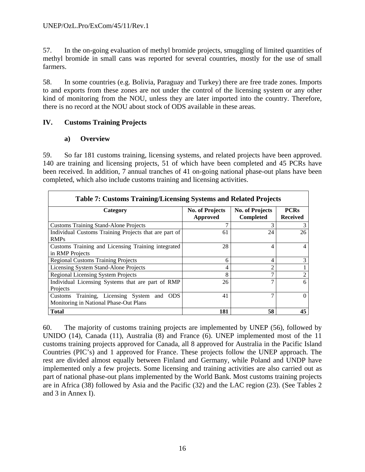57. In the on-going evaluation of methyl bromide projects, smuggling of limited quantities of methyl bromide in small cans was reported for several countries, mostly for the use of small farmers.

58. In some countries (e.g. Bolivia, Paraguay and Turkey) there are free trade zones. Imports to and exports from these zones are not under the control of the licensing system or any other kind of monitoring from the NOU, unless they are later imported into the country. Therefore, there is no record at the NOU about stock of ODS available in these areas.

### **IV. Customs Training Projects**

#### **a) Overview**

59. So far 181 customs training, licensing systems, and related projects have been approved. 140 are training and licensing projects, 51 of which have been completed and 45 PCRs have been received. In addition, 7 annual tranches of 41 on-going national phase-out plans have been completed, which also include customs training and licensing activities.

| <b>Table 7: Customs Training/Licensing Systems and Related Projects</b>              |                                    |                                            |                                |  |  |  |
|--------------------------------------------------------------------------------------|------------------------------------|--------------------------------------------|--------------------------------|--|--|--|
| Category                                                                             | <b>No. of Projects</b><br>Approved | <b>No. of Projects</b><br><b>Completed</b> | <b>PCRs</b><br><b>Received</b> |  |  |  |
| <b>Customs Training Stand-Alone Projects</b>                                         | ℸ                                  | 3                                          | 3                              |  |  |  |
| Individual Customs Training Projects that are part of<br><b>RMPs</b>                 | 61                                 | 24                                         | 26                             |  |  |  |
| Customs Training and Licensing Training integrated<br>in RMP Projects                | 28                                 | 4                                          |                                |  |  |  |
| <b>Regional Customs Training Projects</b>                                            | 6                                  | 4                                          | 3                              |  |  |  |
| Licensing System Stand-Alone Projects                                                | 4                                  | $\mathfrak{D}$                             |                                |  |  |  |
| <b>Regional Licensing System Projects</b>                                            | 8                                  | 7                                          | 2                              |  |  |  |
| Individual Licensing Systems that are part of RMP<br>Projects                        | 26                                 | 7                                          | 6                              |  |  |  |
| Customs Training, Licensing System and ODS<br>Monitoring in National Phase-Out Plans | 41                                 | 7                                          | $\Omega$                       |  |  |  |
| <b>Total</b>                                                                         | 181                                | 58                                         | 45                             |  |  |  |

60. The majority of customs training projects are implemented by UNEP (56), followed by UNIDO (14), Canada (11), Australia (8) and France (6). UNEP implemented most of the 11 customs training projects approved for Canada, all 8 approved for Australia in the Pacific Island Countries (PIC's) and 1 approved for France. These projects follow the UNEP approach. The rest are divided almost equally between Finland and Germany, while Poland and UNDP have implemented only a few projects. Some licensing and training activities are also carried out as part of national phase-out plans implemented by the World Bank. Most customs training projects are in Africa (38) followed by Asia and the Pacific (32) and the LAC region (23). (See Tables 2 and 3 in Annex I).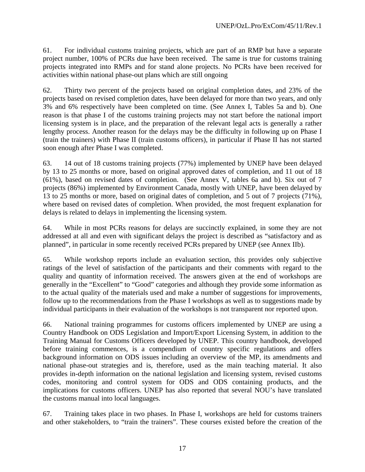61. For individual customs training projects, which are part of an RMP but have a separate project number, 100% of PCRs due have been received. The same is true for customs training projects integrated into RMPs and for stand alone projects. No PCRs have been received for activities within national phase-out plans which are still ongoing

62. Thirty two percent of the projects based on original completion dates, and 23% of the projects based on revised completion dates, have been delayed for more than two years, and only 3% and 6% respectively have been completed on time. (See Annex I, Tables 5a and b). One reason is that phase I of the customs training projects may not start before the national import licensing system is in place, and the preparation of the relevant legal acts is generally a rather lengthy process. Another reason for the delays may be the difficulty in following up on Phase I (train the trainers) with Phase II (train customs officers), in particular if Phase II has not started soon enough after Phase I was completed.

63. 14 out of 18 customs training projects (77%) implemented by UNEP have been delayed by 13 to 25 months or more, based on original approved dates of completion, and 11 out of 18 (61%), based on revised dates of completion. (See Annex V, tables 6a and b). Six out of 7 projects (86%) implemented by Environment Canada, mostly with UNEP, have been delayed by 13 to 25 months or more, based on original dates of completion, and 5 out of 7 projects (71%), where based on revised dates of completion. When provided, the most frequent explanation for delays is related to delays in implementing the licensing system.

64. While in most PCRs reasons for delays are succinctly explained, in some they are not addressed at all and even with significant delays the project is described as "satisfactory and as planned", in particular in some recently received PCRs prepared by UNEP (see Annex IIb).

65. While workshop reports include an evaluation section, this provides only subjective ratings of the level of satisfaction of the participants and their comments with regard to the quality and quantity of information received. The answers given at the end of workshops are generally in the "Excellent" to "Good" categories and although they provide some information as to the actual quality of the materials used and make a number of suggestions for improvements, follow up to the recommendations from the Phase I workshops as well as to suggestions made by individual participants in their evaluation of the workshops is not transparent nor reported upon.

66. National training programmes for customs officers implemented by UNEP are using a Country Handbook on ODS Legislation and Import/Export Licensing System, in addition to the Training Manual for Customs Officers developed by UNEP. This country handbook, developed before training commences, is a compendium of country specific regulations and offers background information on ODS issues including an overview of the MP, its amendments and national phase-out strategies and is, therefore, used as the main teaching material. It also provides in-depth information on the national legislation and licensing system, revised customs codes, monitoring and control system for ODS and ODS containing products, and the implications for customs officers. UNEP has also reported that several NOU's have translated the customs manual into local languages.

67. Training takes place in two phases. In Phase I, workshops are held for customs trainers and other stakeholders, to "train the trainers". These courses existed before the creation of the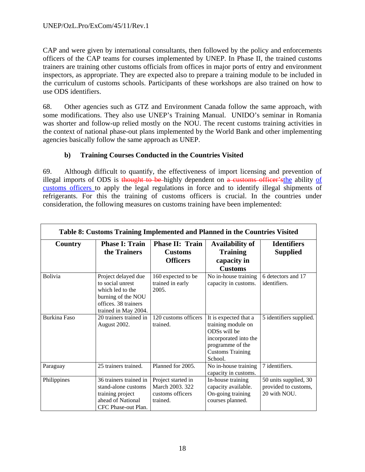CAP and were given by international consultants, then followed by the policy and enforcements officers of the CAP teams for courses implemented by UNEP. In Phase II, the trained customs trainers are training other customs officials from offices in major ports of entry and environment inspectors, as appropriate. They are expected also to prepare a training module to be included in the curriculum of customs schools. Participants of these workshops are also trained on how to use ODS identifiers.

68. Other agencies such as GTZ and Environment Canada follow the same approach, with some modifications. They also use UNEP's Training Manual. UNIDO's seminar in Romania was shorter and follow-up relied mostly on the NOU. The recent customs training activities in the context of national phase-out plans implemented by the World Bank and other implementing agencies basically follow the same approach as UNEP.

### **b) Training Courses Conducted in the Countries Visited**

69. Although difficult to quantify, the effectiveness of import licensing and prevention of illegal imports of ODS is thought to be highly dependent on a customs officer's the ability of customs officers to apply the legal regulations in force and to identify illegal shipments of refrigerants. For this the training of customs officers is crucial. In the countries under consideration, the following measures on customs training have been implemented:

| Table 8: Customs Training Implemented and Planned in the Countries Visited |                                                                                                                                   |                                                                       |                                                                                                                                                |                                                               |  |  |
|----------------------------------------------------------------------------|-----------------------------------------------------------------------------------------------------------------------------------|-----------------------------------------------------------------------|------------------------------------------------------------------------------------------------------------------------------------------------|---------------------------------------------------------------|--|--|
| Country                                                                    | <b>Phase I: Train</b><br>the Trainers                                                                                             | Phase II: Train<br><b>Customs</b><br><b>Officers</b>                  | <b>Availability of</b><br><b>Training</b><br>capacity in<br><b>Customs</b>                                                                     | <b>Identifiers</b><br><b>Supplied</b>                         |  |  |
| Bolivia                                                                    | Project delayed due<br>to social unrest<br>which led to the<br>burning of the NOU<br>offices. 38 trainers<br>trained in May 2004. | 160 expected to be<br>trained in early<br>2005.                       | No in-house training<br>capacity in customs.                                                                                                   | 6 detectors and 17<br>identifiers.                            |  |  |
| <b>Burkina Faso</b>                                                        | 20 trainers trained in<br>August 2002.                                                                                            | 120 customs officers<br>trained.                                      | It is expected that a<br>training module on<br>ODSs will be<br>incorporated into the<br>programme of the<br><b>Customs Training</b><br>School. | 5 identifiers supplied.                                       |  |  |
| Paraguay                                                                   | 25 trainers trained.                                                                                                              | Planned for 2005.                                                     | No in-house training<br>capacity in customs.                                                                                                   | 7 identifiers.                                                |  |  |
| Philippines                                                                | 36 trainers trained in<br>stand-alone customs<br>training project<br>ahead of National<br>CFC Phase-out Plan.                     | Project started in<br>March 2003, 322<br>customs officers<br>trained. | In-house training<br>capacity available.<br>On-going training<br>courses planned.                                                              | 50 units supplied, 30<br>provided to customs,<br>20 with NOU. |  |  |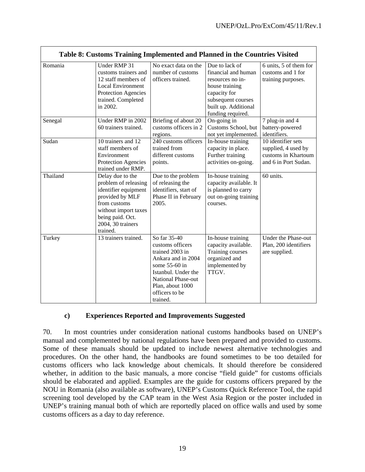| Table 8: Customs Training Implemented and Planned in the Countries Visited |                                                                                                                                                                                  |                                                                                                                                                                                                  |                                                                                                                                                                |                                                                                          |
|----------------------------------------------------------------------------|----------------------------------------------------------------------------------------------------------------------------------------------------------------------------------|--------------------------------------------------------------------------------------------------------------------------------------------------------------------------------------------------|----------------------------------------------------------------------------------------------------------------------------------------------------------------|------------------------------------------------------------------------------------------|
| Romania                                                                    | Under RMP 31<br>customs trainers and<br>12 staff members of<br><b>Local Environment</b><br>Protection Agencies<br>trained. Completed<br>in 2002.                                 | No exact data on the<br>number of customs<br>officers trained.                                                                                                                                   | Due to lack of<br>financial and human<br>resources no in-<br>house training<br>capacity for<br>subsequent courses<br>built up. Additional<br>funding required. | 6 units, 5 of them for<br>customs and 1 for<br>training purposes.                        |
| Senegal                                                                    | Under RMP in 2002<br>60 trainers trained.                                                                                                                                        | Briefing of about 20<br>customs officers in 2<br>regions.                                                                                                                                        | On-going in<br>Customs School, but<br>not yet implemented.                                                                                                     | 7 plug-in and 4<br>battery-powered<br>identifiers.                                       |
| Sudan                                                                      | 10 trainers and 12<br>staff members of<br>Environment<br>Protection Agencies<br>trained under RMP.                                                                               | 240 customs officers<br>trained from<br>different customs<br>points.                                                                                                                             | In-house training<br>capacity in place.<br>Further training<br>activities on-going.                                                                            | 10 identifier sets<br>supplied, 4 used by<br>customs in Khartoum<br>and 6 in Port Sudan. |
| Thailand                                                                   | Delay due to the<br>problem of releasing<br>identifier equipment<br>provided by MLF<br>from customs<br>without import taxes<br>being paid. Oct.<br>2004, 30 trainers<br>trained. | Due to the problem<br>of releasing the<br>identifiers, start of<br>Phase II in February<br>2005.                                                                                                 | In-house training<br>capacity available. It<br>is planned to carry<br>out on-going training<br>courses.                                                        | 60 units.                                                                                |
| Turkey                                                                     | 13 trainers trained.                                                                                                                                                             | So far 35-40<br>customs officers<br>trained 2003 in<br>Ankara and in 2004<br>some 55-60 in<br>Istanbul. Under the<br><b>National Phase-out</b><br>Plan, about 1000<br>officers to be<br>trained. | In-house training<br>capacity available.<br>Training courses<br>organized and<br>implemented by<br>TTGV.                                                       | Under the Phase-out<br>Plan, 200 identifiers<br>are supplied.                            |

# **c) Experiences Reported and Improvements Suggested**

70. In most countries under consideration national customs handbooks based on UNEP's manual and complemented by national regulations have been prepared and provided to customs. Some of these manuals should be updated to include newest alternative technologies and procedures. On the other hand, the handbooks are found sometimes to be too detailed for customs officers who lack knowledge about chemicals. It should therefore be considered whether, in addition to the basic manuals, a more concise "field guide" for customs officials should be elaborated and applied. Examples are the guide for customs officers prepared by the NOU in Romania (also available as software), UNEP's Customs Quick Reference Tool, the rapid screening tool developed by the CAP team in the West Asia Region or the poster included in UNEP's training manual both of which are reportedly placed on office walls and used by some customs officers as a day to day reference.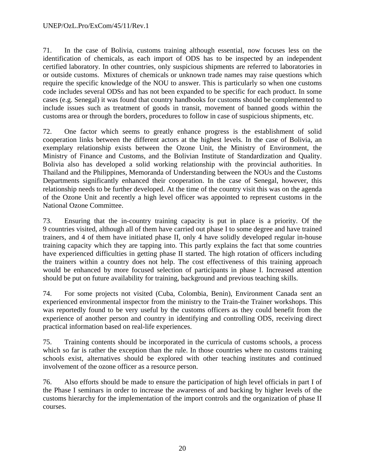#### UNEP/OzL.Pro/ExCom/45/11/Rev.1

71. In the case of Bolivia, customs training although essential, now focuses less on the identification of chemicals, as each import of ODS has to be inspected by an independent certified laboratory. In other countries, only suspicious shipments are referred to laboratories in or outside customs. Mixtures of chemicals or unknown trade names may raise questions which require the specific knowledge of the NOU to answer. This is particularly so when one customs code includes several ODSs and has not been expanded to be specific for each product. In some cases (e.g. Senegal) it was found that country handbooks for customs should be complemented to include issues such as treatment of goods in transit, movement of banned goods within the customs area or through the borders, procedures to follow in case of suspicious shipments, etc.

72. One factor which seems to greatly enhance progress is the establishment of solid cooperation links between the different actors at the highest levels. In the case of Bolivia, an exemplary relationship exists between the Ozone Unit, the Ministry of Environment, the Ministry of Finance and Customs, and the Bolivian Institute of Standardization and Quality. Bolivia also has developed a solid working relationship with the provincial authorities. In Thailand and the Philippines, Memoranda of Understanding between the NOUs and the Customs Departments significantly enhanced their cooperation. In the case of Senegal, however, this relationship needs to be further developed. At the time of the country visit this was on the agenda of the Ozone Unit and recently a high level officer was appointed to represent customs in the National Ozone Committee.

73. Ensuring that the in-country training capacity is put in place is a priority. Of the 9 countries visited, although all of them have carried out phase I to some degree and have trained trainers, and 4 of them have initiated phase II, only 4 have solidly developed regular in-house training capacity which they are tapping into. This partly explains the fact that some countries have experienced difficulties in getting phase II started. The high rotation of officers including the trainers within a country does not help. The cost effectiveness of this training approach would be enhanced by more focused selection of participants in phase I. Increased attention should be put on future availability for training, background and previous teaching skills.

74. For some projects not visited (Cuba, Colombia, Benin), Environment Canada sent an experienced environmental inspector from the ministry to the Train-the Trainer workshops. This was reportedly found to be very useful by the customs officers as they could benefit from the experience of another person and country in identifying and controlling ODS, receiving direct practical information based on real-life experiences.

75. Training contents should be incorporated in the curricula of customs schools, a process which so far is rather the exception than the rule. In those countries where no customs training schools exist, alternatives should be explored with other teaching institutes and continued involvement of the ozone officer as a resource person.

76. Also efforts should be made to ensure the participation of high level officials in part I of the Phase I seminars in order to increase the awareness of and backing by higher levels of the customs hierarchy for the implementation of the import controls and the organization of phase II courses.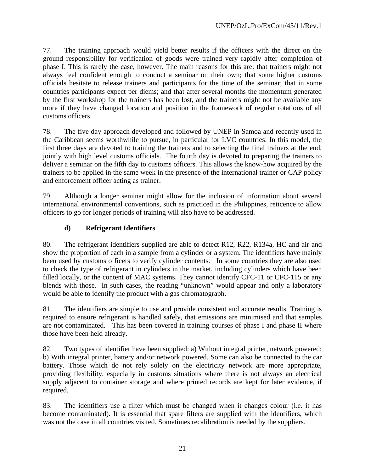77. The training approach would yield better results if the officers with the direct on the ground responsibility for verification of goods were trained very rapidly after completion of phase I. This is rarely the case, however. The main reasons for this are: that trainers might not always feel confident enough to conduct a seminar on their own; that some higher customs officials hesitate to release trainers and participants for the time of the seminar; that in some countries participants expect per diems; and that after several months the momentum generated by the first workshop for the trainers has been lost, and the trainers might not be available any more if they have changed location and position in the framework of regular rotations of all customs officers.

78. The five day approach developed and followed by UNEP in Samoa and recently used in the Caribbean seems worthwhile to pursue, in particular for LVC countries. In this model, the first three days are devoted to training the trainers and to selecting the final trainers at the end, jointly with high level customs officials. The fourth day is devoted to preparing the trainers to deliver a seminar on the fifth day to customs officers. This allows the know-how acquired by the trainers to be applied in the same week in the presence of the international trainer or CAP policy and enforcement officer acting as trainer.

79. Although a longer seminar might allow for the inclusion of information about several international environmental conventions, such as practiced in the Philippines, reticence to allow officers to go for longer periods of training will also have to be addressed.

# **d) Refrigerant Identifiers**

80. The refrigerant identifiers supplied are able to detect R12, R22, R134a, HC and air and show the proportion of each in a sample from a cylinder or a system. The identifiers have mainly been used by customs officers to verify cylinder contents. In some countries they are also used to check the type of refrigerant in cylinders in the market, including cylinders which have been filled locally, or the content of MAC systems. They cannot identify CFC-11 or CFC-115 or any blends with those. In such cases, the reading "unknown" would appear and only a laboratory would be able to identify the product with a gas chromatograph.

81. The identifiers are simple to use and provide consistent and accurate results. Training is required to ensure refrigerant is handled safely, that emissions are minimised and that samples are not contaminated. This has been covered in training courses of phase I and phase II where those have been held already.

82. Two types of identifier have been supplied: a) Without integral printer, network powered; b) With integral printer, battery and/or network powered. Some can also be connected to the car battery. Those which do not rely solely on the electricity network are more appropriate, providing flexibility, especially in customs situations where there is not always an electrical supply adjacent to container storage and where printed records are kept for later evidence, if required.

83. The identifiers use a filter which must be changed when it changes colour (i.e. it has become contaminated). It is essential that spare filters are supplied with the identifiers, which was not the case in all countries visited. Sometimes recalibration is needed by the suppliers.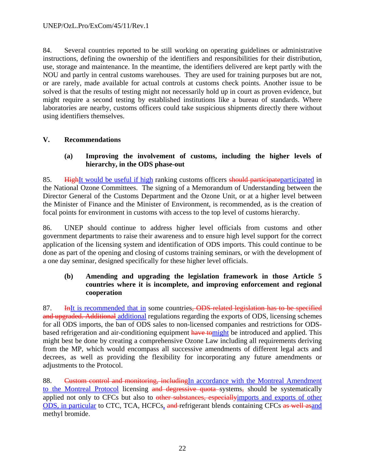84. Several countries reported to be still working on operating guidelines or administrative instructions, defining the ownership of the identifiers and responsibilities for their distribution, use, storage and maintenance. In the meantime, the identifiers delivered are kept partly with the NOU and partly in central customs warehouses. They are used for training purposes but are not, or are rarely, made available for actual controls at customs check points. Another issue to be solved is that the results of testing might not necessarily hold up in court as proven evidence, but might require a second testing by established institutions like a bureau of standards. Where laboratories are nearby, customs officers could take suspicious shipments directly there without using identifiers themselves.

# **V. Recommendations**

### **(a) Improving the involvement of customs, including the higher levels of hierarchy, in the ODS phase-out**

85. HighIt would be useful if high ranking customs officers should participate participated in the National Ozone Committees. The signing of a Memorandum of Understanding between the Director General of the Customs Department and the Ozone Unit, or at a higher level between the Minister of Finance and the Minister of Environment, is recommended, as is the creation of focal points for environment in customs with access to the top level of customs hierarchy.

86. UNEP should continue to address higher level officials from customs and other government departments to raise their awareness and to ensure high level support for the correct application of the licensing system and identification of ODS imports. This could continue to be done as part of the opening and closing of customs training seminars, or with the development of a one day seminar, designed specifically for these higher level officials.

# **(b) Amending and upgrading the legislation framework in those Article 5 countries where it is incomplete, and improving enforcement and regional cooperation**

87. **In**It is recommended that in some countries, ODS-related legislation has to be specified and upgraded. Additional additional regulations regarding the exports of ODS, licensing schemes for all ODS imports, the ban of ODS sales to non-licensed companies and restrictions for ODSbased refrigeration and air-conditioning equipment have tomight be introduced and applied. This might best be done by creating a comprehensive Ozone Law including all requirements deriving from the MP, which would encompass all successive amendments of different legal acts and decrees, as well as providing the flexibility for incorporating any future amendments or adjustments to the Protocol.

88. Custom control and monitoring, includingIn accordance with the Montreal Amendment to the Montreal Protocol licensing and degressive quota systems, should be systematically applied not only to CFCs but also to other substances, especially imports and exports of other ODS, in particular to CTC, TCA, HCFCs, and refrigerant blends containing CFCs as well asand methyl bromide.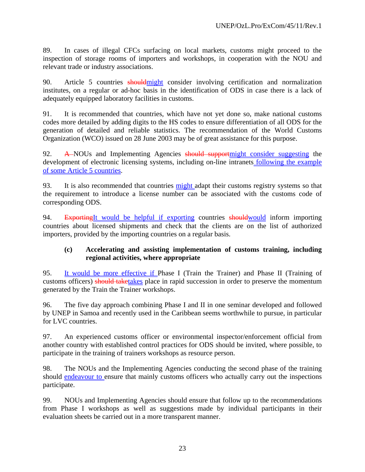89. In cases of illegal CFCs surfacing on local markets, customs might proceed to the inspection of storage rooms of importers and workshops, in cooperation with the NOU and relevant trade or industry associations.

90. Article 5 countries shouldmight consider involving certification and normalization institutes, on a regular or ad-hoc basis in the identification of ODS in case there is a lack of adequately equipped laboratory facilities in customs.

91. It is recommended that countries, which have not yet done so, make national customs codes more detailed by adding digits to the HS codes to ensure differentiation of all ODS for the generation of detailed and reliable statistics. The recommendation of the World Customs Organization (WCO) issued on 28 June 2003 may be of great assistance for this purpose.

92. A NOUs and Implementing Agencies should supportmight consider suggesting the development of electronic licensing systems, including on-line intranets **following the example** of some Article 5 countries.

93. It is also recommended that countries might adapt their customs registry systems so that the requirement to introduce a license number can be associated with the customs code of corresponding ODS.

94. ExportingIt would be helpful if exporting countries should would inform importing countries about licensed shipments and check that the clients are on the list of authorized importers, provided by the importing countries on a regular basis.

### **(c) Accelerating and assisting implementation of customs training, including regional activities, where appropriate**

95. It would be more effective if Phase I (Train the Trainer) and Phase II (Training of customs officers) should taketakes place in rapid succession in order to preserve the momentum generated by the Train the Trainer workshops.

96. The five day approach combining Phase I and II in one seminar developed and followed by UNEP in Samoa and recently used in the Caribbean seems worthwhile to pursue, in particular for LVC countries.

97. An experienced customs officer or environmental inspector/enforcement official from another country with established control practices for ODS should be invited, where possible, to participate in the training of trainers workshops as resource person.

98. The NOUs and the Implementing Agencies conducting the second phase of the training should **endeavour to ensure that mainly customs officers** who actually carry out the inspections participate.

99. NOUs and Implementing Agencies should ensure that follow up to the recommendations from Phase I workshops as well as suggestions made by individual participants in their evaluation sheets be carried out in a more transparent manner.